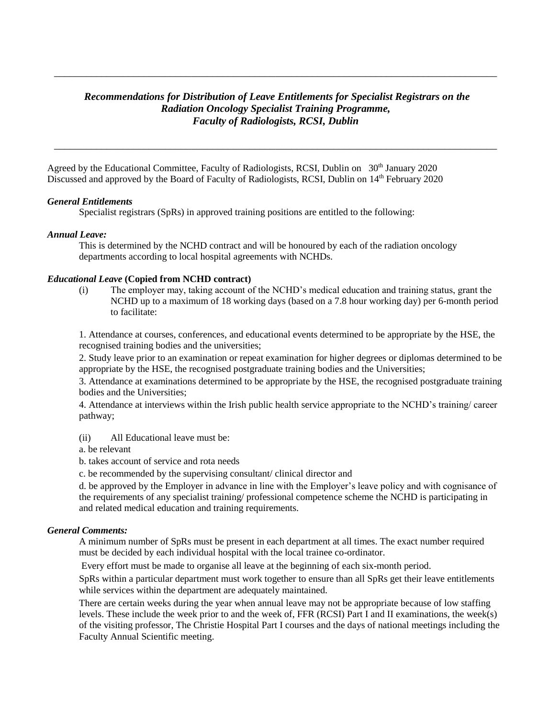# *Recommendations for Distribution of Leave Entitlements for Specialist Registrars on the Radiation Oncology Specialist Training Programme, Faculty of Radiologists, RCSI, Dublin*

*\_\_\_\_\_\_\_\_\_\_\_\_\_\_\_\_\_\_\_\_\_\_\_\_\_\_\_\_\_\_\_\_\_\_\_\_\_\_\_\_\_\_\_\_\_\_\_\_\_\_\_\_\_\_\_\_\_\_\_\_\_\_\_\_\_\_\_\_\_\_\_\_\_\_\_\_\_\_\_\_\_\_\_\_*

\_\_\_\_\_\_\_\_\_\_\_\_\_\_\_\_\_\_\_\_\_\_\_\_\_\_\_\_\_\_\_\_\_\_\_\_\_\_\_\_\_\_\_\_\_\_\_\_\_\_\_\_\_\_\_\_\_\_\_\_\_\_\_\_\_\_\_\_\_\_\_\_\_\_\_\_\_\_\_\_\_\_\_\_

Agreed by the Educational Committee, Faculty of Radiologists, RCSI, Dublin on 30<sup>th</sup> January 2020 Discussed and approved by the Board of Faculty of Radiologists, RCSI, Dublin on 14<sup>th</sup> February 2020

## *General Entitlements*

Specialist registrars (SpRs) in approved training positions are entitled to the following:

## *Annual Leave:*

This is determined by the NCHD contract and will be honoured by each of the radiation oncology departments according to local hospital agreements with NCHDs.

#### *Educational Leave* **(Copied from NCHD contract)**

(i) The employer may, taking account of the NCHD's medical education and training status, grant the NCHD up to a maximum of 18 working days (based on a 7.8 hour working day) per 6-month period to facilitate:

1. Attendance at courses, conferences, and educational events determined to be appropriate by the HSE, the recognised training bodies and the universities;

2. Study leave prior to an examination or repeat examination for higher degrees or diplomas determined to be appropriate by the HSE, the recognised postgraduate training bodies and the Universities;

3. Attendance at examinations determined to be appropriate by the HSE, the recognised postgraduate training bodies and the Universities;

4. Attendance at interviews within the Irish public health service appropriate to the NCHD's training/ career pathway;

(ii) All Educational leave must be:

a. be relevant

b. takes account of service and rota needs

c. be recommended by the supervising consultant/ clinical director and

d. be approved by the Employer in advance in line with the Employer's leave policy and with cognisance of the requirements of any specialist training/ professional competence scheme the NCHD is participating in and related medical education and training requirements.

#### *General Comments:*

A minimum number of SpRs must be present in each department at all times. The exact number required must be decided by each individual hospital with the local trainee co-ordinator.

Every effort must be made to organise all leave at the beginning of each six-month period.

SpRs within a particular department must work together to ensure than all SpRs get their leave entitlements while services within the department are adequately maintained.

There are certain weeks during the year when annual leave may not be appropriate because of low staffing levels. These include the week prior to and the week of, FFR (RCSI) Part I and II examinations, the week(s) of the visiting professor, The Christie Hospital Part I courses and the days of national meetings including the Faculty Annual Scientific meeting.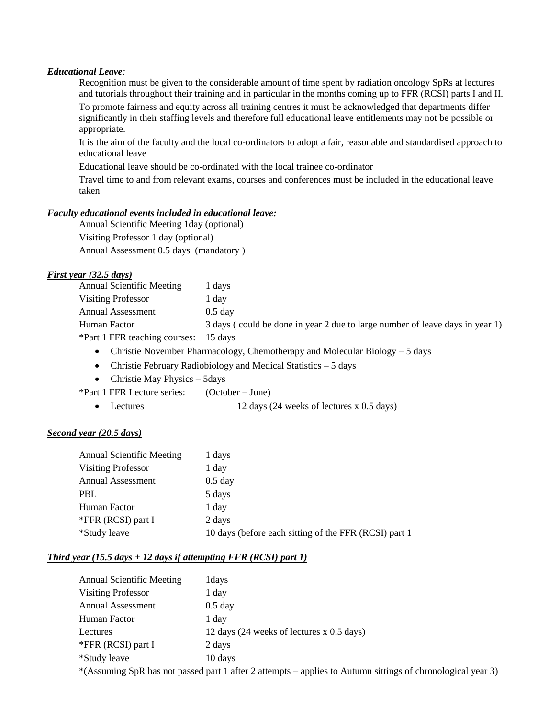## *Educational Leave:*

Recognition must be given to the considerable amount of time spent by radiation oncology SpRs at lectures and tutorials throughout their training and in particular in the months coming up to FFR (RCSI) parts I and II.

To promote fairness and equity across all training centres it must be acknowledged that departments differ significantly in their staffing levels and therefore full educational leave entitlements may not be possible or appropriate.

It is the aim of the faculty and the local co-ordinators to adopt a fair, reasonable and standardised approach to educational leave

Educational leave should be co-ordinated with the local trainee co-ordinator

Travel time to and from relevant exams, courses and conferences must be included in the educational leave taken

## *Faculty educational events included in educational leave:*

Annual Scientific Meeting 1day (optional) Visiting Professor 1 day (optional) Annual Assessment 0.5 days (mandatory )

## *First year (32.5 days)*

| <b>Annual Scientific Meeting</b> | l days                                                                       |
|----------------------------------|------------------------------------------------------------------------------|
| Visiting Professor               | day.                                                                         |
| Annual Assessment                | $0.5$ day                                                                    |
| Human Factor                     | 3 days (could be done in year 2 due to large number of leave days in year 1) |
| *Part 1 FFR teaching courses:    | 15 davs                                                                      |
|                                  |                                                                              |

- Christie November Pharmacology, Chemotherapy and Molecular Biology 5 days
- Christie February Radiobiology and Medical Statistics 5 days
- $\bullet$  Christie May Physics 5days

\*Part 1 FFR Lecture series: (October – June)

• Lectures 12 days (24 weeks of lectures x 0.5 days)

## *Second year (20.5 days)*

| <b>Annual Scientific Meeting</b> | 1 days                                                |
|----------------------------------|-------------------------------------------------------|
| <b>Visiting Professor</b>        | 1 day                                                 |
| <b>Annual Assessment</b>         | $0.5$ day                                             |
| <b>PBL</b>                       | 5 days                                                |
| Human Factor                     | 1 day                                                 |
| *FFR (RCSI) part I               | 2 days                                                |
| *Study leave                     | 10 days (before each sitting of the FFR (RCSI) part 1 |

## *Third year (15.5 days + 12 days if attempting FFR (RCSI) part 1)*

| <b>Annual Scientific Meeting</b> | 1 days                                                                                                      |
|----------------------------------|-------------------------------------------------------------------------------------------------------------|
| <b>Visiting Professor</b>        | 1 day                                                                                                       |
| <b>Annual Assessment</b>         | $0.5$ day                                                                                                   |
| Human Factor                     | 1 day                                                                                                       |
| Lectures                         | 12 days (24 weeks of lectures x 0.5 days)                                                                   |
| *FFR (RCSI) part I               | 2 days                                                                                                      |
| *Study leave                     | 10 days                                                                                                     |
|                                  | *(Assuming SpR has not passed part 1 after 2 attempts – applies to Autumn sittings of chronological year 3) |